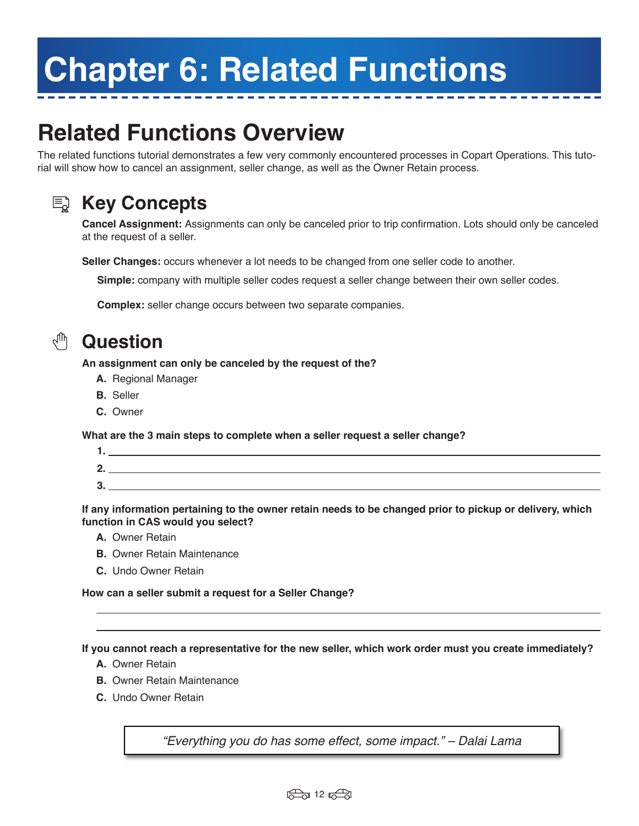# **Chapter 6: Related Functions**

## **Related Functions Overview**

The related functions tutorial demonstrates a few very commonly encountered processes in Copart Operations. This tutorial will show how to cancel an assignment, seller change, as well as the Owner Retain process.



### **Key Concepts**

**Cancel Assignment:** Assignments can only be canceled prior to trip confirmation. Lots should only be canceled at the request of a seller.

**Seller Changes:** occurs whenever a lot needs to be changed from one seller code to another.

**Simple:** company with multiple seller codes request a seller change between their own seller codes.

**Complex:** seller change occurs between two separate companies.



#### **Question**

**An assignment can only be canceled by the request of the?**

- **A.** Regional Manager
- **B.** Seller
- **C.** Owner

**What are the 3 main steps to complete when a seller request a seller change?** 

| C<br>J. |  |
|---------|--|
|         |  |

**If any information pertaining to the owner retain needs to be changed prior to pickup or delivery, which function in CAS would you select?**

- **A.** Owner Retain
- **B.** Owner Retain Maintenance
- **C.** Undo Owner Retain

**How can a seller submit a request for a Seller Change?**

**If you cannot reach a representative for the new seller, which work order must you create immediately?**

- **A.** Owner Retain
- **B.** Owner Retain Maintenance
- **C.** Undo Owner Retain

"Everything you do has some effect, some impact." – Dalai Lama